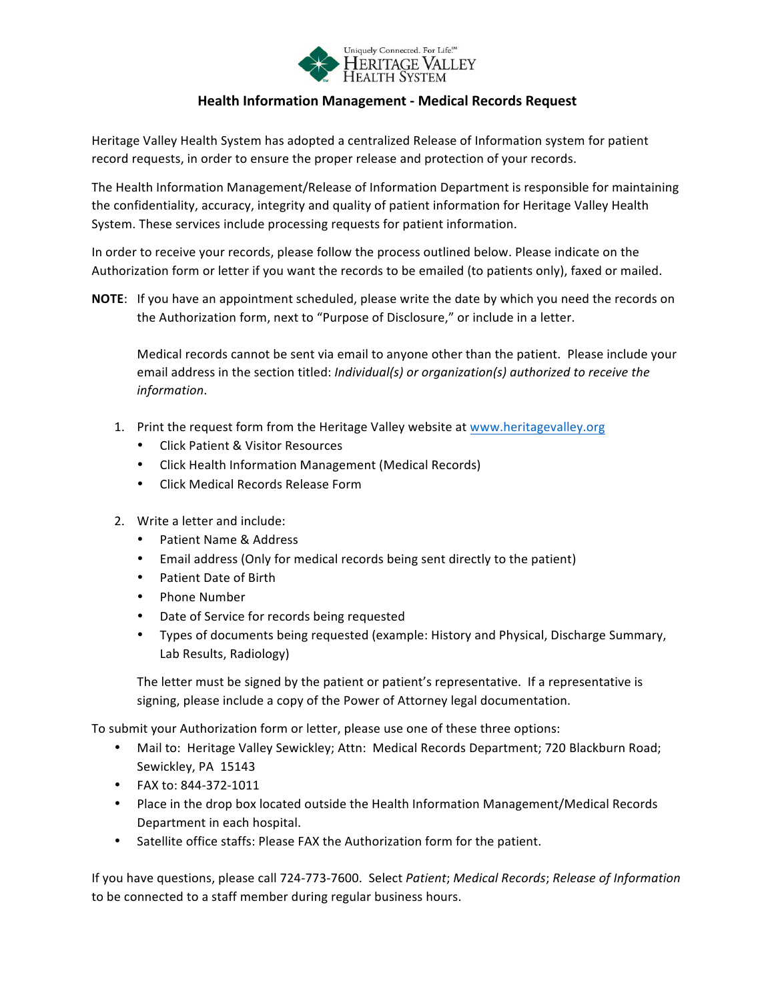

# **Health Information Management - Medical Records Request**

Heritage Valley Health System has adopted a centralized Release of Information system for patient record requests, in order to ensure the proper release and protection of your records.

The Health Information Management/Release of Information Department is responsible for maintaining the confidentiality, accuracy, integrity and quality of patient information for Heritage Valley Health System. These services include processing requests for patient information.

In order to receive your records, please follow the process outlined below. Please indicate on the Authorization form or letter if you want the records to be emailed (to patients only), faxed or mailed.

**NOTE:** If you have an appointment scheduled, please write the date by which you need the records on the Authorization form, next to "Purpose of Disclosure," or include in a letter.

Medical records cannot be sent via email to anyone other than the patient. Please include your email address in the section titled: *Individual(s)* or organization(s) authorized to receive the *information*.

- 1. Print the request form from the Heritage Valley website at www.heritagevalley.org
	- Click Patient & Visitor Resources
	- Click Health Information Management (Medical Records)
	- Click Medical Records Release Form
- 2. Write a letter and include:
	- Patient Name & Address
	- Email address (Only for medical records being sent directly to the patient)
	- Patient Date of Birth
	- Phone Number
	- Date of Service for records being requested
	- Types of documents being requested (example: History and Physical, Discharge Summary, Lab Results, Radiology)

The letter must be signed by the patient or patient's representative. If a representative is signing, please include a copy of the Power of Attorney legal documentation.

To submit your Authorization form or letter, please use one of these three options:

- Mail to: Heritage Valley Sewickley; Attn: Medical Records Department; 720 Blackburn Road; Sewickley, PA 15143
- FAX to: 844-372-1011
- Place in the drop box located outside the Health Information Management/Medical Records Department in each hospital.
- Satellite office staffs: Please FAX the Authorization form for the patient.

If you have questions, please call 724-773-7600. Select Patient; Medical Records; Release of Information to be connected to a staff member during regular business hours.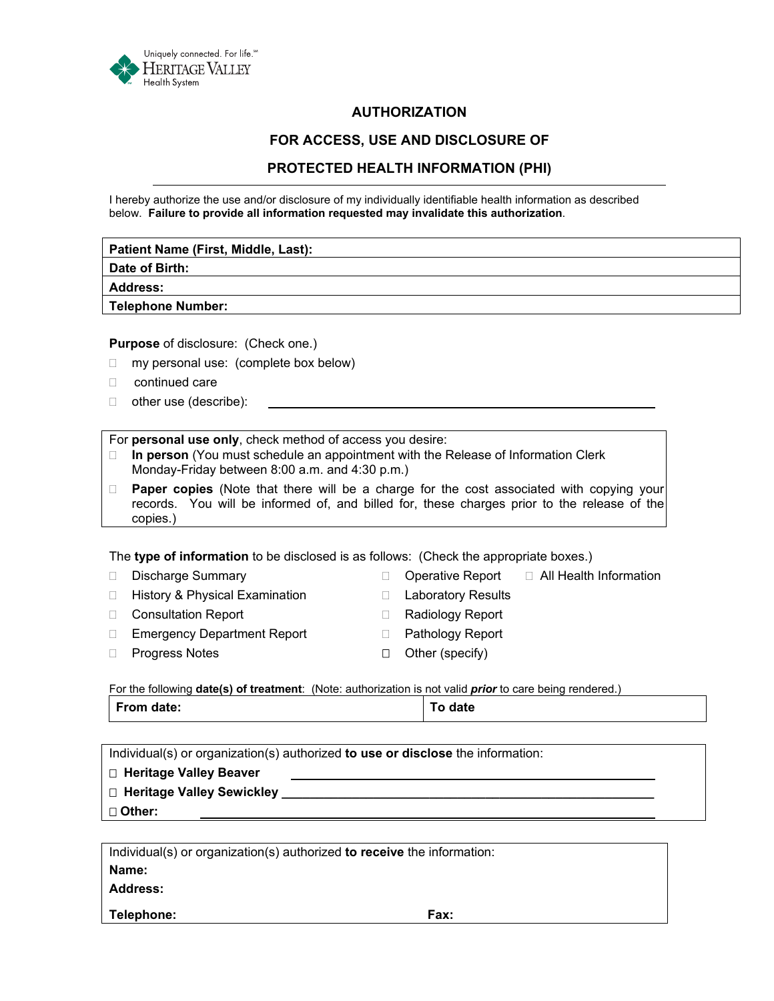

# **AUTHORIZATION**

## **FOR ACCESS, USE AND DISCLOSURE OF**

# **PROTECTED HEALTH INFORMATION (PHI)**

I hereby authorize the use and/or disclosure of my individually identifiable health information as described below. **Failure to provide all information requested may invalidate this authorization**.

| Patient Name (First, Middle, Last): |  |
|-------------------------------------|--|
| Date of Birth:                      |  |
| <b>Address:</b>                     |  |
| Telephone Number:                   |  |

**Purpose** of disclosure: (Check one.)

- $\Box$  my personal use: (complete box below)
- continued care
- □ other use (describe):

### For **personal use only**, check method of access you desire:

- **In person** (You must schedule an appointment with the Release of Information Clerk Monday-Friday between 8:00 a.m. and 4:30 p.m.)
- **Paper copies** (Note that there will be a charge for the cost associated with copying your records. You will be informed of, and billed for, these charges prior to the release of the copies.)

The **type of information** to be disclosed is as follows: (Check the appropriate boxes.)

|        | <b>Discharge Summary</b>           |   | Operative Report          | □ All Health Information |
|--------|------------------------------------|---|---------------------------|--------------------------|
| П.     | History & Physical Examination     |   | <b>Laboratory Results</b> |                          |
| $\Box$ | <b>Consultation Report</b>         |   | Radiology Report          |                          |
|        | <b>Emergency Department Report</b> |   | <b>Pathology Report</b>   |                          |
|        | <b>Progress Notes</b>              | п | Other (specify)           |                          |
|        |                                    |   |                           |                          |

For the following **date(s) of treatment**: (Note: authorization is not valid *prior* to care being rendered.) From date: **The Internal Structure of To date To date** 

| □ Heritage Valley Beaver | Individual(s) or organization(s) authorized to use or disclose the information: |  |  |  |  |  |  |
|--------------------------|---------------------------------------------------------------------------------|--|--|--|--|--|--|
|                          |                                                                                 |  |  |  |  |  |  |
|                          | $\Box$ Heritage Valley Sewickley                                                |  |  |  |  |  |  |
| □ Other:                 |                                                                                 |  |  |  |  |  |  |

Individual(s) or organization(s) authorized **to receive** the information: **Name: Address: Telephone: Fax:**